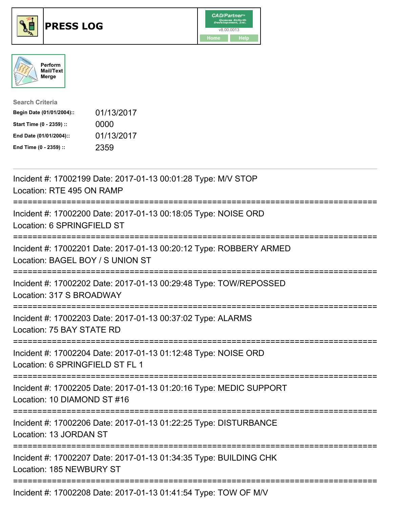





| <b>Search Criteria</b>    |            |
|---------------------------|------------|
| Begin Date (01/01/2004):: | 01/13/2017 |
| Start Time (0 - 2359) ::  | 0000       |
| End Date (01/01/2004)::   | 01/13/2017 |
| End Time (0 - 2359) ::    | 2359       |

| Incident #: 17002199 Date: 2017-01-13 00:01:28 Type: M/V STOP<br>Location: RTE 495 ON RAMP               |
|----------------------------------------------------------------------------------------------------------|
| Incident #: 17002200 Date: 2017-01-13 00:18:05 Type: NOISE ORD<br>Location: 6 SPRINGFIELD ST             |
| Incident #: 17002201 Date: 2017-01-13 00:20:12 Type: ROBBERY ARMED<br>Location: BAGEL BOY / S UNION ST   |
| Incident #: 17002202 Date: 2017-01-13 00:29:48 Type: TOW/REPOSSED<br>Location: 317 S BROADWAY            |
| Incident #: 17002203 Date: 2017-01-13 00:37:02 Type: ALARMS<br>Location: 75 BAY STATE RD                 |
| Incident #: 17002204 Date: 2017-01-13 01:12:48 Type: NOISE ORD<br>Location: 6 SPRINGFIELD ST FL 1        |
| Incident #: 17002205 Date: 2017-01-13 01:20:16 Type: MEDIC SUPPORT<br>Location: 10 DIAMOND ST #16        |
| Incident #: 17002206 Date: 2017-01-13 01:22:25 Type: DISTURBANCE<br>Location: 13 JORDAN ST               |
| Incident #: 17002207 Date: 2017-01-13 01:34:35 Type: BUILDING CHK<br>Location: 185 NEWBURY ST            |
| =====================================<br>Incident #: 17002208 Date: 2017-01-13 01:41:54 Type: TOW OF M/V |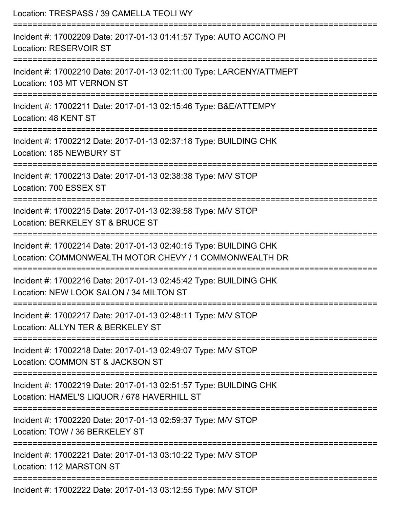| Location: TRESPASS / 39 CAMELLA TEOLI WY<br>:==========================                                                     |
|-----------------------------------------------------------------------------------------------------------------------------|
| Incident #: 17002209 Date: 2017-01-13 01:41:57 Type: AUTO ACC/NO PI<br>Location: RESERVOIR ST<br>------------------         |
| Incident #: 17002210 Date: 2017-01-13 02:11:00 Type: LARCENY/ATTMEPT<br>Location: 103 MT VERNON ST                          |
| Incident #: 17002211 Date: 2017-01-13 02:15:46 Type: B&E/ATTEMPY<br>Location: 48 KENT ST                                    |
| Incident #: 17002212 Date: 2017-01-13 02:37:18 Type: BUILDING CHK<br>Location: 185 NEWBURY ST                               |
| Incident #: 17002213 Date: 2017-01-13 02:38:38 Type: M/V STOP<br>Location: 700 ESSEX ST                                     |
| Incident #: 17002215 Date: 2017-01-13 02:39:58 Type: M/V STOP<br>Location: BERKELEY ST & BRUCE ST                           |
| Incident #: 17002214 Date: 2017-01-13 02:40:15 Type: BUILDING CHK<br>Location: COMMONWEALTH MOTOR CHEVY / 1 COMMONWEALTH DR |
| Incident #: 17002216 Date: 2017-01-13 02:45:42 Type: BUILDING CHK<br>Location: NEW LOOK SALON / 34 MILTON ST                |
| Incident #: 17002217 Date: 2017-01-13 02:48:11 Type: M/V STOP<br>Location: ALLYN TER & BERKELEY ST                          |
| Incident #: 17002218 Date: 2017-01-13 02:49:07 Type: M/V STOP<br>Location: COMMON ST & JACKSON ST                           |
| Incident #: 17002219 Date: 2017-01-13 02:51:57 Type: BUILDING CHK<br>Location: HAMEL'S LIQUOR / 678 HAVERHILL ST            |
| Incident #: 17002220 Date: 2017-01-13 02:59:37 Type: M/V STOP<br>Location: TOW / 36 BERKELEY ST                             |
| Incident #: 17002221 Date: 2017-01-13 03:10:22 Type: M/V STOP<br>Location: 112 MARSTON ST                                   |
| Incident #: 17002222 Date: 2017-01-13 03:12:55 Type: MAI STOP                                                               |

Incident #: 17002222 Date: 2017-01-13 03:12:55 Type: M/V STOP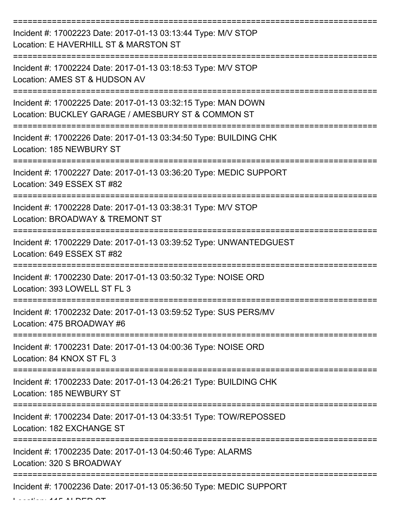| Incident #: 17002223 Date: 2017-01-13 03:13:44 Type: M/V STOP<br>Location: E HAVERHILL ST & MARSTON ST              |
|---------------------------------------------------------------------------------------------------------------------|
| Incident #: 17002224 Date: 2017-01-13 03:18:53 Type: M/V STOP<br>Location: AMES ST & HUDSON AV                      |
| Incident #: 17002225 Date: 2017-01-13 03:32:15 Type: MAN DOWN<br>Location: BUCKLEY GARAGE / AMESBURY ST & COMMON ST |
| Incident #: 17002226 Date: 2017-01-13 03:34:50 Type: BUILDING CHK<br>Location: 185 NEWBURY ST                       |
| Incident #: 17002227 Date: 2017-01-13 03:36:20 Type: MEDIC SUPPORT<br>Location: 349 ESSEX ST #82                    |
| Incident #: 17002228 Date: 2017-01-13 03:38:31 Type: M/V STOP<br>Location: BROADWAY & TREMONT ST                    |
| Incident #: 17002229 Date: 2017-01-13 03:39:52 Type: UNWANTEDGUEST<br>Location: 649 ESSEX ST #82                    |
| Incident #: 17002230 Date: 2017-01-13 03:50:32 Type: NOISE ORD<br>Location: 393 LOWELL ST FL 3                      |
| Incident #: 17002232 Date: 2017-01-13 03:59:52 Type: SUS PERS/MV<br>Location: 475 BROADWAY #6                       |
| Incident #: 17002231 Date: 2017-01-13 04:00:36 Type: NOISE ORD<br>Location: 84 KNOX ST FL 3                         |
| Incident #: 17002233 Date: 2017-01-13 04:26:21 Type: BUILDING CHK<br>Location: 185 NEWBURY ST                       |
| Incident #: 17002234 Date: 2017-01-13 04:33:51 Type: TOW/REPOSSED<br>Location: 182 EXCHANGE ST                      |
| Incident #: 17002235 Date: 2017-01-13 04:50:46 Type: ALARMS<br>Location: 320 S BROADWAY                             |
| Incident #: 17002236 Date: 2017-01-13 05:36:50 Type: MEDIC SUPPORT                                                  |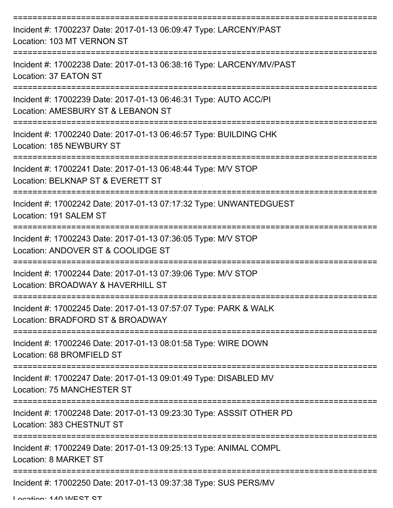| Incident #: 17002237 Date: 2017-01-13 06:09:47 Type: LARCENY/PAST<br>Location: 103 MT VERNON ST        |
|--------------------------------------------------------------------------------------------------------|
| Incident #: 17002238 Date: 2017-01-13 06:38:16 Type: LARCENY/MV/PAST<br>Location: 37 EATON ST          |
| Incident #: 17002239 Date: 2017-01-13 06:46:31 Type: AUTO ACC/PI<br>Location: AMESBURY ST & LEBANON ST |
| Incident #: 17002240 Date: 2017-01-13 06:46:57 Type: BUILDING CHK<br>Location: 185 NEWBURY ST          |
| Incident #: 17002241 Date: 2017-01-13 06:48:44 Type: M/V STOP<br>Location: BELKNAP ST & EVERETT ST     |
| Incident #: 17002242 Date: 2017-01-13 07:17:32 Type: UNWANTEDGUEST<br>Location: 191 SALEM ST           |
| Incident #: 17002243 Date: 2017-01-13 07:36:05 Type: M/V STOP<br>Location: ANDOVER ST & COOLIDGE ST    |
| Incident #: 17002244 Date: 2017-01-13 07:39:06 Type: M/V STOP<br>Location: BROADWAY & HAVERHILL ST     |
| Incident #: 17002245 Date: 2017-01-13 07:57:07 Type: PARK & WALK<br>Location: BRADFORD ST & BROADWAY   |
| Incident #: 17002246 Date: 2017-01-13 08:01:58 Type: WIRE DOWN<br>Location: 68 BROMFIELD ST            |
| Incident #: 17002247 Date: 2017-01-13 09:01:49 Type: DISABLED MV<br>Location: 75 MANCHESTER ST         |
| Incident #: 17002248 Date: 2017-01-13 09:23:30 Type: ASSSIT OTHER PD<br>Location: 383 CHESTNUT ST      |
| Incident #: 17002249 Date: 2017-01-13 09:25:13 Type: ANIMAL COMPL<br>Location: 8 MARKET ST             |
| Incident #: 17002250 Date: 2017-01-13 09:37:38 Type: SUS PERS/MV                                       |

Location: 140 WEST ST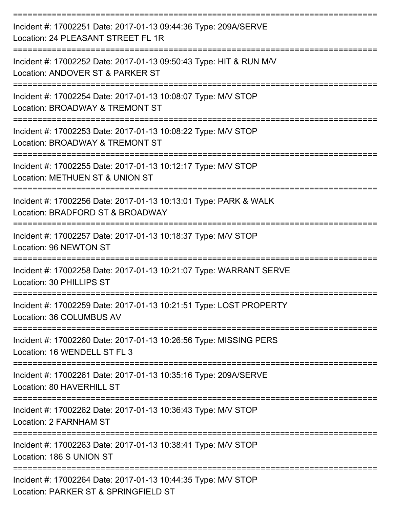| Incident #: 17002251 Date: 2017-01-13 09:44:36 Type: 209A/SERVE<br>Location: 24 PLEASANT STREET FL 1R  |
|--------------------------------------------------------------------------------------------------------|
| Incident #: 17002252 Date: 2017-01-13 09:50:43 Type: HIT & RUN M/V<br>Location: ANDOVER ST & PARKER ST |
| Incident #: 17002254 Date: 2017-01-13 10:08:07 Type: M/V STOP<br>Location: BROADWAY & TREMONT ST       |
| Incident #: 17002253 Date: 2017-01-13 10:08:22 Type: M/V STOP<br>Location: BROADWAY & TREMONT ST       |
| Incident #: 17002255 Date: 2017-01-13 10:12:17 Type: M/V STOP<br>Location: METHUEN ST & UNION ST       |
| Incident #: 17002256 Date: 2017-01-13 10:13:01 Type: PARK & WALK<br>Location: BRADFORD ST & BROADWAY   |
| Incident #: 17002257 Date: 2017-01-13 10:18:37 Type: M/V STOP<br>Location: 96 NEWTON ST                |
| Incident #: 17002258 Date: 2017-01-13 10:21:07 Type: WARRANT SERVE<br>Location: 30 PHILLIPS ST         |
| Incident #: 17002259 Date: 2017-01-13 10:21:51 Type: LOST PROPERTY<br>Location: 36 COLUMBUS AV         |
| Incident #: 17002260 Date: 2017-01-13 10:26:56 Type: MISSING PERS<br>Location: 16 WENDELL ST FL 3      |
| Incident #: 17002261 Date: 2017-01-13 10:35:16 Type: 209A/SERVE<br>Location: 80 HAVERHILL ST           |
| Incident #: 17002262 Date: 2017-01-13 10:36:43 Type: M/V STOP<br>Location: 2 FARNHAM ST                |
| Incident #: 17002263 Date: 2017-01-13 10:38:41 Type: M/V STOP<br>Location: 186 S UNION ST              |
| Incident #: 17002264 Date: 2017-01-13 10:44:35 Type: M/V STOP<br>Location: PARKER ST & SPRINGFIELD ST  |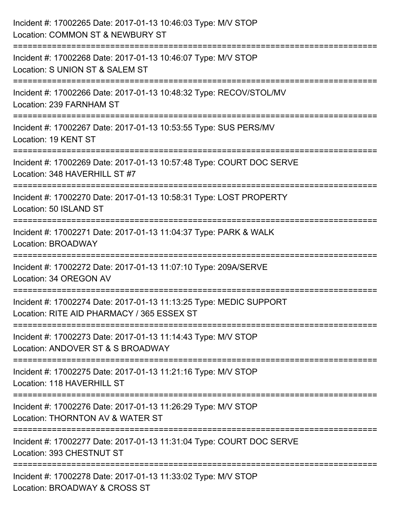| Incident #: 17002265 Date: 2017-01-13 10:46:03 Type: M/V STOP<br>Location: COMMON ST & NEWBURY ST                          |
|----------------------------------------------------------------------------------------------------------------------------|
| :=====================<br>Incident #: 17002268 Date: 2017-01-13 10:46:07 Type: M/V STOP<br>Location: S UNION ST & SALEM ST |
| Incident #: 17002266 Date: 2017-01-13 10:48:32 Type: RECOV/STOL/MV<br>Location: 239 FARNHAM ST<br>===================      |
| Incident #: 17002267 Date: 2017-01-13 10:53:55 Type: SUS PERS/MV<br>Location: 19 KENT ST                                   |
| Incident #: 17002269 Date: 2017-01-13 10:57:48 Type: COURT DOC SERVE<br>Location: 348 HAVERHILL ST #7                      |
| Incident #: 17002270 Date: 2017-01-13 10:58:31 Type: LOST PROPERTY<br>Location: 50 ISLAND ST                               |
| Incident #: 17002271 Date: 2017-01-13 11:04:37 Type: PARK & WALK<br>Location: BROADWAY                                     |
| Incident #: 17002272 Date: 2017-01-13 11:07:10 Type: 209A/SERVE<br>Location: 34 OREGON AV                                  |
| Incident #: 17002274 Date: 2017-01-13 11:13:25 Type: MEDIC SUPPORT<br>Location: RITE AID PHARMACY / 365 ESSEX ST           |
| Incident #: 17002273 Date: 2017-01-13 11:14:43 Type: M/V STOP<br>Location: ANDOVER ST & S BROADWAY                         |
| Incident #: 17002275 Date: 2017-01-13 11:21:16 Type: M/V STOP<br>Location: 118 HAVERHILL ST                                |
| Incident #: 17002276 Date: 2017-01-13 11:26:29 Type: M/V STOP<br>Location: THORNTON AV & WATER ST                          |
| Incident #: 17002277 Date: 2017-01-13 11:31:04 Type: COURT DOC SERVE<br>Location: 393 CHESTNUT ST                          |
| Incident #: 17002278 Date: 2017-01-13 11:33:02 Type: M/V STOP<br>Location: BROADWAY & CROSS ST                             |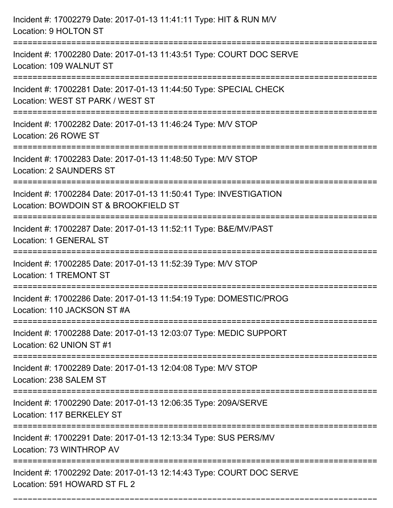| Incident #: 17002279 Date: 2017-01-13 11:41:11 Type: HIT & RUN M/V<br>Location: 9 HOLTON ST<br>=======================                                                           |
|----------------------------------------------------------------------------------------------------------------------------------------------------------------------------------|
| Incident #: 17002280 Date: 2017-01-13 11:43:51 Type: COURT DOC SERVE<br>Location: 109 WALNUT ST                                                                                  |
| Incident #: 17002281 Date: 2017-01-13 11:44:50 Type: SPECIAL CHECK<br>Location: WEST ST PARK / WEST ST<br>===================================<br>=============================== |
| Incident #: 17002282 Date: 2017-01-13 11:46:24 Type: M/V STOP<br>Location: 26 ROWE ST                                                                                            |
| Incident #: 17002283 Date: 2017-01-13 11:48:50 Type: M/V STOP<br><b>Location: 2 SAUNDERS ST</b><br>-----------------------------                                                 |
| Incident #: 17002284 Date: 2017-01-13 11:50:41 Type: INVESTIGATION<br>Location: BOWDOIN ST & BROOKFIELD ST                                                                       |
| Incident #: 17002287 Date: 2017-01-13 11:52:11 Type: B&E/MV/PAST<br>Location: 1 GENERAL ST                                                                                       |
| Incident #: 17002285 Date: 2017-01-13 11:52:39 Type: M/V STOP<br><b>Location: 1 TREMONT ST</b>                                                                                   |
| Incident #: 17002286 Date: 2017-01-13 11:54:19 Type: DOMESTIC/PROG<br>Location: 110 JACKSON ST #A                                                                                |
| Incident #: 17002288 Date: 2017-01-13 12:03:07 Type: MEDIC SUPPORT<br>Location: 62 UNION ST #1                                                                                   |
| Incident #: 17002289 Date: 2017-01-13 12:04:08 Type: M/V STOP<br>Location: 238 SALEM ST                                                                                          |
| Incident #: 17002290 Date: 2017-01-13 12:06:35 Type: 209A/SERVE<br>Location: 117 BERKELEY ST                                                                                     |
| Incident #: 17002291 Date: 2017-01-13 12:13:34 Type: SUS PERS/MV<br>Location: 73 WINTHROP AV                                                                                     |
| Incident #: 17002292 Date: 2017-01-13 12:14:43 Type: COURT DOC SERVE<br>Location: 591 HOWARD ST FL 2                                                                             |

===========================================================================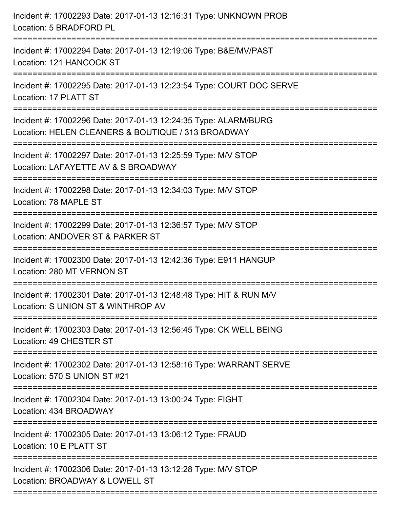| Incident #: 17002293 Date: 2017-01-13 12:16:31 Type: UNKNOWN PROB<br>Location: 5 BRADFORD PL                             |
|--------------------------------------------------------------------------------------------------------------------------|
| Incident #: 17002294 Date: 2017-01-13 12:19:06 Type: B&E/MV/PAST<br>Location: 121 HANCOCK ST                             |
| Incident #: 17002295 Date: 2017-01-13 12:23:54 Type: COURT DOC SERVE<br>Location: 17 PLATT ST                            |
| Incident #: 17002296 Date: 2017-01-13 12:24:35 Type: ALARM/BURG<br>Location: HELEN CLEANERS & BOUTIQUE / 313 BROADWAY    |
| Incident #: 17002297 Date: 2017-01-13 12:25:59 Type: M/V STOP<br>Location: LAFAYETTE AV & S BROADWAY<br>---------------- |
| Incident #: 17002298 Date: 2017-01-13 12:34:03 Type: M/V STOP<br>Location: 78 MAPLE ST                                   |
| Incident #: 17002299 Date: 2017-01-13 12:36:57 Type: M/V STOP<br>Location: ANDOVER ST & PARKER ST                        |
| Incident #: 17002300 Date: 2017-01-13 12:42:36 Type: E911 HANGUP<br>Location: 280 MT VERNON ST                           |
| Incident #: 17002301 Date: 2017-01-13 12:48:48 Type: HIT & RUN M/V<br>Location: S UNION ST & WINTHROP AV                 |
| Incident #: 17002303 Date: 2017-01-13 12:56:45 Type: CK WELL BEING<br>Location: 49 CHESTER ST                            |
| Incident #: 17002302 Date: 2017-01-13 12:58:16 Type: WARRANT SERVE<br>Location: 570 S UNION ST #21                       |
| Incident #: 17002304 Date: 2017-01-13 13:00:24 Type: FIGHT<br>Location: 434 BROADWAY                                     |
| Incident #: 17002305 Date: 2017-01-13 13:06:12 Type: FRAUD<br>Location: 10 E PLATT ST                                    |
| Incident #: 17002306 Date: 2017-01-13 13:12:28 Type: M/V STOP<br>Location: BROADWAY & LOWELL ST                          |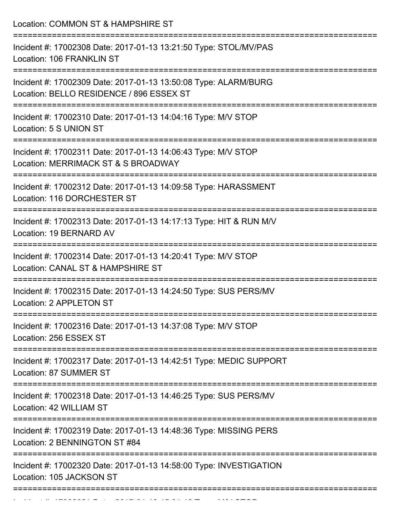| Incident #: 17002308 Date: 2017-01-13 13:21:50 Type: STOL/MV/PAS<br>Location: 106 FRANKLIN ST<br>================================<br>Incident #: 17002309 Date: 2017-01-13 13:50:08 Type: ALARM/BURG<br>Location: BELLO RESIDENCE / 896 ESSEX ST<br>:=================================<br>Incident #: 17002310 Date: 2017-01-13 14:04:16 Type: M/V STOP<br>Location: 5 S UNION ST<br>Incident #: 17002311 Date: 2017-01-13 14:06:43 Type: M/V STOP<br>Location: MERRIMACK ST & S BROADWAY<br>:===========================<br>Incident #: 17002312 Date: 2017-01-13 14:09:58 Type: HARASSMENT<br>Location: 116 DORCHESTER ST<br>Incident #: 17002313 Date: 2017-01-13 14:17:13 Type: HIT & RUN M/V<br>Location: 19 BERNARD AV<br>Incident #: 17002314 Date: 2017-01-13 14:20:41 Type: M/V STOP |
|-----------------------------------------------------------------------------------------------------------------------------------------------------------------------------------------------------------------------------------------------------------------------------------------------------------------------------------------------------------------------------------------------------------------------------------------------------------------------------------------------------------------------------------------------------------------------------------------------------------------------------------------------------------------------------------------------------------------------------------------------------------------------------------------------|
|                                                                                                                                                                                                                                                                                                                                                                                                                                                                                                                                                                                                                                                                                                                                                                                               |
|                                                                                                                                                                                                                                                                                                                                                                                                                                                                                                                                                                                                                                                                                                                                                                                               |
|                                                                                                                                                                                                                                                                                                                                                                                                                                                                                                                                                                                                                                                                                                                                                                                               |
|                                                                                                                                                                                                                                                                                                                                                                                                                                                                                                                                                                                                                                                                                                                                                                                               |
|                                                                                                                                                                                                                                                                                                                                                                                                                                                                                                                                                                                                                                                                                                                                                                                               |
|                                                                                                                                                                                                                                                                                                                                                                                                                                                                                                                                                                                                                                                                                                                                                                                               |
| Location: CANAL ST & HAMPSHIRE ST                                                                                                                                                                                                                                                                                                                                                                                                                                                                                                                                                                                                                                                                                                                                                             |
| Incident #: 17002315 Date: 2017-01-13 14:24:50 Type: SUS PERS/MV<br>Location: 2 APPLETON ST                                                                                                                                                                                                                                                                                                                                                                                                                                                                                                                                                                                                                                                                                                   |
| Incident #: 17002316 Date: 2017-01-13 14:37:08 Type: M/V STOP<br>Location: 256 ESSEX ST                                                                                                                                                                                                                                                                                                                                                                                                                                                                                                                                                                                                                                                                                                       |
| Incident #: 17002317 Date: 2017-01-13 14:42:51 Type: MEDIC SUPPORT<br>Location: 87 SUMMER ST                                                                                                                                                                                                                                                                                                                                                                                                                                                                                                                                                                                                                                                                                                  |
| Incident #: 17002318 Date: 2017-01-13 14:46:25 Type: SUS PERS/MV<br>Location: 42 WILLIAM ST                                                                                                                                                                                                                                                                                                                                                                                                                                                                                                                                                                                                                                                                                                   |
| Incident #: 17002319 Date: 2017-01-13 14:48:36 Type: MISSING PERS<br>Location: 2 BENNINGTON ST #84                                                                                                                                                                                                                                                                                                                                                                                                                                                                                                                                                                                                                                                                                            |
| Incident #: 17002320 Date: 2017-01-13 14:58:00 Type: INVESTIGATION<br>Location: 105 JACKSON ST                                                                                                                                                                                                                                                                                                                                                                                                                                                                                                                                                                                                                                                                                                |

Incident #: 17002321 Date: 2017 01 13 15:01:12 Type: M/V STOP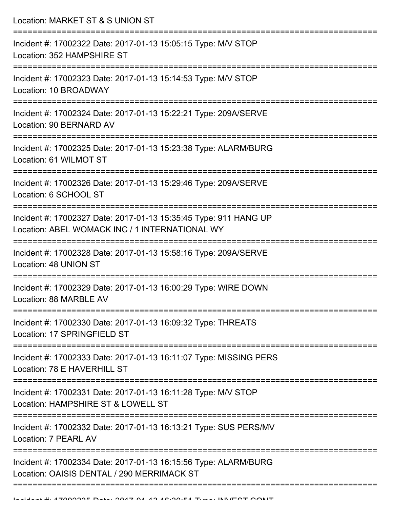| Location: MARKET ST & S UNION ST                                                                                                                          |
|-----------------------------------------------------------------------------------------------------------------------------------------------------------|
| Incident #: 17002322 Date: 2017-01-13 15:05:15 Type: M/V STOP<br>Location: 352 HAMPSHIRE ST<br>====================================                       |
| Incident #: 17002323 Date: 2017-01-13 15:14:53 Type: M/V STOP<br>Location: 10 BROADWAY                                                                    |
| Incident #: 17002324 Date: 2017-01-13 15:22:21 Type: 209A/SERVE<br>Location: 90 BERNARD AV                                                                |
| Incident #: 17002325 Date: 2017-01-13 15:23:38 Type: ALARM/BURG<br>Location: 61 WILMOT ST                                                                 |
| Incident #: 17002326 Date: 2017-01-13 15:29:46 Type: 209A/SERVE<br>Location: 6 SCHOOL ST                                                                  |
| Incident #: 17002327 Date: 2017-01-13 15:35:45 Type: 911 HANG UP<br>Location: ABEL WOMACK INC / 1 INTERNATIONAL WY<br>----------------------------------- |
| Incident #: 17002328 Date: 2017-01-13 15:58:16 Type: 209A/SERVE<br>Location: 48 UNION ST                                                                  |
| Incident #: 17002329 Date: 2017-01-13 16:00:29 Type: WIRE DOWN<br>Location: 88 MARBLE AV                                                                  |
| Incident #: 17002330 Date: 2017-01-13 16:09:32 Type: THREATS<br>Location: 17 SPRINGFIELD ST                                                               |
| Incident #: 17002333 Date: 2017-01-13 16:11:07 Type: MISSING PERS<br>Location: 78 E HAVERHILL ST                                                          |
| Incident #: 17002331 Date: 2017-01-13 16:11:28 Type: M/V STOP<br>Location: HAMPSHIRE ST & LOWELL ST                                                       |
| Incident #: 17002332 Date: 2017-01-13 16:13:21 Type: SUS PERS/MV<br>Location: 7 PEARL AV                                                                  |
| Incident #: 17002334 Date: 2017-01-13 16:15:56 Type: ALARM/BURG<br>Location: OAISIS DENTAL / 290 MERRIMACK ST                                             |
|                                                                                                                                                           |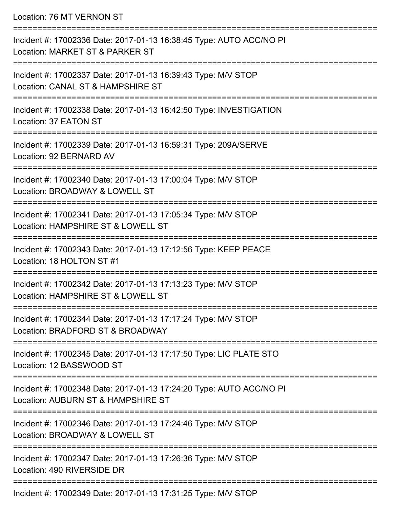Location: 76 MT VERNON ST

| Incident #: 17002336 Date: 2017-01-13 16:38:45 Type: AUTO ACC/NO PI<br>Location: MARKET ST & PARKER ST    |
|-----------------------------------------------------------------------------------------------------------|
| Incident #: 17002337 Date: 2017-01-13 16:39:43 Type: M/V STOP<br>Location: CANAL ST & HAMPSHIRE ST        |
| Incident #: 17002338 Date: 2017-01-13 16:42:50 Type: INVESTIGATION<br>Location: 37 EATON ST               |
| Incident #: 17002339 Date: 2017-01-13 16:59:31 Type: 209A/SERVE<br>Location: 92 BERNARD AV                |
| Incident #: 17002340 Date: 2017-01-13 17:00:04 Type: M/V STOP<br>Location: BROADWAY & LOWELL ST           |
| Incident #: 17002341 Date: 2017-01-13 17:05:34 Type: M/V STOP<br>Location: HAMPSHIRE ST & LOWELL ST       |
| Incident #: 17002343 Date: 2017-01-13 17:12:56 Type: KEEP PEACE<br>Location: 18 HOLTON ST #1              |
| Incident #: 17002342 Date: 2017-01-13 17:13:23 Type: M/V STOP<br>Location: HAMPSHIRE ST & LOWELL ST       |
| Incident #: 17002344 Date: 2017-01-13 17:17:24 Type: M/V STOP<br>Location: BRADFORD ST & BROADWAY         |
| Incident #: 17002345 Date: 2017-01-13 17:17:50 Type: LIC PLATE STO<br>Location: 12 BASSWOOD ST            |
| Incident #: 17002348 Date: 2017-01-13 17:24:20 Type: AUTO ACC/NO PI<br>Location: AUBURN ST & HAMPSHIRE ST |
| Incident #: 17002346 Date: 2017-01-13 17:24:46 Type: M/V STOP<br>Location: BROADWAY & LOWELL ST           |
| Incident #: 17002347 Date: 2017-01-13 17:26:36 Type: M/V STOP<br>Location: 490 RIVERSIDE DR               |
|                                                                                                           |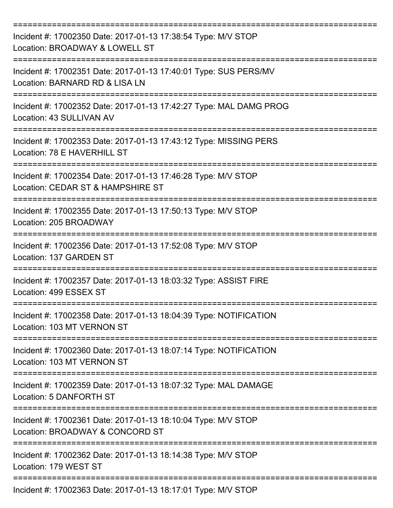| Incident #: 17002350 Date: 2017-01-13 17:38:54 Type: M/V STOP<br>Location: BROADWAY & LOWELL ST    |
|----------------------------------------------------------------------------------------------------|
| Incident #: 17002351 Date: 2017-01-13 17:40:01 Type: SUS PERS/MV<br>Location: BARNARD RD & LISA LN |
| Incident #: 17002352 Date: 2017-01-13 17:42:27 Type: MAL DAMG PROG<br>Location: 43 SULLIVAN AV     |
| Incident #: 17002353 Date: 2017-01-13 17:43:12 Type: MISSING PERS<br>Location: 78 E HAVERHILL ST   |
| Incident #: 17002354 Date: 2017-01-13 17:46:28 Type: M/V STOP<br>Location: CEDAR ST & HAMPSHIRE ST |
| Incident #: 17002355 Date: 2017-01-13 17:50:13 Type: M/V STOP<br>Location: 205 BROADWAY            |
| Incident #: 17002356 Date: 2017-01-13 17:52:08 Type: M/V STOP<br>Location: 137 GARDEN ST           |
| Incident #: 17002357 Date: 2017-01-13 18:03:32 Type: ASSIST FIRE<br>Location: 499 ESSEX ST         |
| Incident #: 17002358 Date: 2017-01-13 18:04:39 Type: NOTIFICATION<br>Location: 103 MT VERNON ST    |
| Incident #: 17002360 Date: 2017-01-13 18:07:14 Type: NOTIFICATION<br>Location: 103 MT VERNON ST    |
| Incident #: 17002359 Date: 2017-01-13 18:07:32 Type: MAL DAMAGE<br>Location: 5 DANFORTH ST         |
| Incident #: 17002361 Date: 2017-01-13 18:10:04 Type: M/V STOP<br>Location: BROADWAY & CONCORD ST   |
| Incident #: 17002362 Date: 2017-01-13 18:14:38 Type: M/V STOP<br>Location: 179 WEST ST             |
| Incident #: 17002363 Date: 2017-01-13 18:17:01 Type: M/V STOP                                      |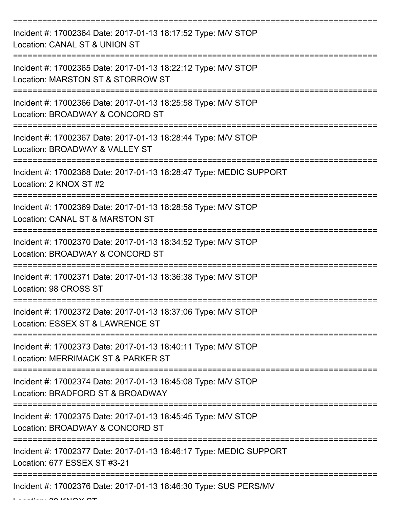| Incident #: 17002364 Date: 2017-01-13 18:17:52 Type: M/V STOP<br>Location: CANAL ST & UNION ST      |
|-----------------------------------------------------------------------------------------------------|
| Incident #: 17002365 Date: 2017-01-13 18:22:12 Type: M/V STOP<br>Location: MARSTON ST & STORROW ST  |
| Incident #: 17002366 Date: 2017-01-13 18:25:58 Type: M/V STOP<br>Location: BROADWAY & CONCORD ST    |
| Incident #: 17002367 Date: 2017-01-13 18:28:44 Type: M/V STOP<br>Location: BROADWAY & VALLEY ST     |
| Incident #: 17002368 Date: 2017-01-13 18:28:47 Type: MEDIC SUPPORT<br>Location: 2 KNOX ST #2        |
| Incident #: 17002369 Date: 2017-01-13 18:28:58 Type: M/V STOP<br>Location: CANAL ST & MARSTON ST    |
| Incident #: 17002370 Date: 2017-01-13 18:34:52 Type: M/V STOP<br>Location: BROADWAY & CONCORD ST    |
| Incident #: 17002371 Date: 2017-01-13 18:36:38 Type: M/V STOP<br>Location: 98 CROSS ST              |
| Incident #: 17002372 Date: 2017-01-13 18:37:06 Type: M/V STOP<br>Location: ESSEX ST & LAWRENCE ST   |
| Incident #: 17002373 Date: 2017-01-13 18:40:11 Type: M/V STOP<br>Location: MERRIMACK ST & PARKER ST |
| Incident #: 17002374 Date: 2017-01-13 18:45:08 Type: M/V STOP<br>Location: BRADFORD ST & BROADWAY   |
| Incident #: 17002375 Date: 2017-01-13 18:45:45 Type: M/V STOP<br>Location: BROADWAY & CONCORD ST    |
| Incident #: 17002377 Date: 2017-01-13 18:46:17 Type: MEDIC SUPPORT<br>Location: 677 ESSEX ST #3-21  |
| Incident #: 17002376 Date: 2017-01-13 18:46:30 Type: SUS PERS/MV                                    |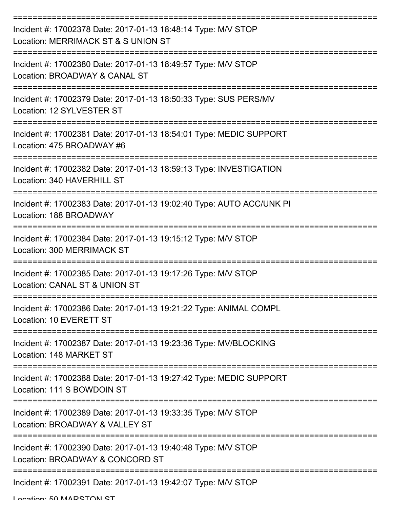| Incident #: 17002378 Date: 2017-01-13 18:48:14 Type: M/V STOP<br>Location: MERRIMACK ST & S UNION ST |
|------------------------------------------------------------------------------------------------------|
| Incident #: 17002380 Date: 2017-01-13 18:49:57 Type: M/V STOP<br>Location: BROADWAY & CANAL ST       |
| Incident #: 17002379 Date: 2017-01-13 18:50:33 Type: SUS PERS/MV<br>Location: 12 SYLVESTER ST        |
| Incident #: 17002381 Date: 2017-01-13 18:54:01 Type: MEDIC SUPPORT<br>Location: 475 BROADWAY #6      |
| Incident #: 17002382 Date: 2017-01-13 18:59:13 Type: INVESTIGATION<br>Location: 340 HAVERHILL ST     |
| Incident #: 17002383 Date: 2017-01-13 19:02:40 Type: AUTO ACC/UNK PI<br>Location: 188 BROADWAY       |
| Incident #: 17002384 Date: 2017-01-13 19:15:12 Type: M/V STOP<br><b>Location: 300 MERRIMACK ST</b>   |
| Incident #: 17002385 Date: 2017-01-13 19:17:26 Type: M/V STOP<br>Location: CANAL ST & UNION ST       |
| Incident #: 17002386 Date: 2017-01-13 19:21:22 Type: ANIMAL COMPL<br>Location: 10 EVERETT ST         |
| Incident #: 17002387 Date: 2017-01-13 19:23:36 Type: MV/BLOCKING<br>Location: 148 MARKET ST          |
| Incident #: 17002388 Date: 2017-01-13 19:27:42 Type: MEDIC SUPPORT<br>Location: 111 S BOWDOIN ST     |
| Incident #: 17002389 Date: 2017-01-13 19:33:35 Type: M/V STOP<br>Location: BROADWAY & VALLEY ST      |
| Incident #: 17002390 Date: 2017-01-13 19:40:48 Type: M/V STOP<br>Location: BROADWAY & CONCORD ST     |
| Incident #: 17002391 Date: 2017-01-13 19:42:07 Type: M/V STOP                                        |

Location: 50 MADRTONI RT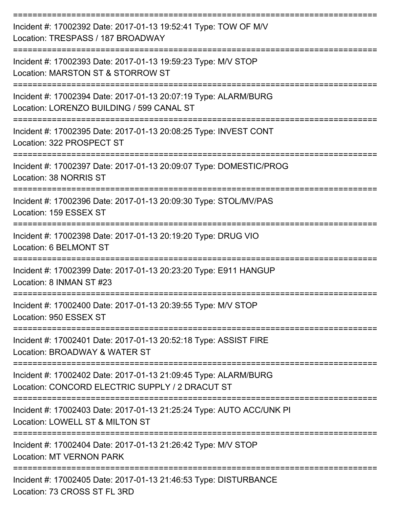| Incident #: 17002392 Date: 2017-01-13 19:52:41 Type: TOW OF M/V<br>Location: TRESPASS / 187 BROADWAY               |
|--------------------------------------------------------------------------------------------------------------------|
| Incident #: 17002393 Date: 2017-01-13 19:59:23 Type: M/V STOP<br>Location: MARSTON ST & STORROW ST                 |
| Incident #: 17002394 Date: 2017-01-13 20:07:19 Type: ALARM/BURG<br>Location: LORENZO BUILDING / 599 CANAL ST       |
| Incident #: 17002395 Date: 2017-01-13 20:08:25 Type: INVEST CONT<br>Location: 322 PROSPECT ST                      |
| Incident #: 17002397 Date: 2017-01-13 20:09:07 Type: DOMESTIC/PROG<br>Location: 38 NORRIS ST                       |
| Incident #: 17002396 Date: 2017-01-13 20:09:30 Type: STOL/MV/PAS<br>Location: 159 ESSEX ST                         |
| Incident #: 17002398 Date: 2017-01-13 20:19:20 Type: DRUG VIO<br>Location: 6 BELMONT ST                            |
| Incident #: 17002399 Date: 2017-01-13 20:23:20 Type: E911 HANGUP<br>Location: 8 INMAN ST #23                       |
| Incident #: 17002400 Date: 2017-01-13 20:39:55 Type: M/V STOP<br>Location: 950 ESSEX ST                            |
| Incident #: 17002401 Date: 2017-01-13 20:52:18 Type: ASSIST FIRE<br>Location: BROADWAY & WATER ST                  |
| Incident #: 17002402 Date: 2017-01-13 21:09:45 Type: ALARM/BURG<br>Location: CONCORD ELECTRIC SUPPLY / 2 DRACUT ST |
| Incident #: 17002403 Date: 2017-01-13 21:25:24 Type: AUTO ACC/UNK PI<br>Location: LOWELL ST & MILTON ST            |
| Incident #: 17002404 Date: 2017-01-13 21:26:42 Type: M/V STOP<br><b>Location: MT VERNON PARK</b>                   |
| Incident #: 17002405 Date: 2017-01-13 21:46:53 Type: DISTURBANCE<br>Location: 72 CDOCC CT EL 2DD                   |

Location: 73 CROSS ST FL 3RD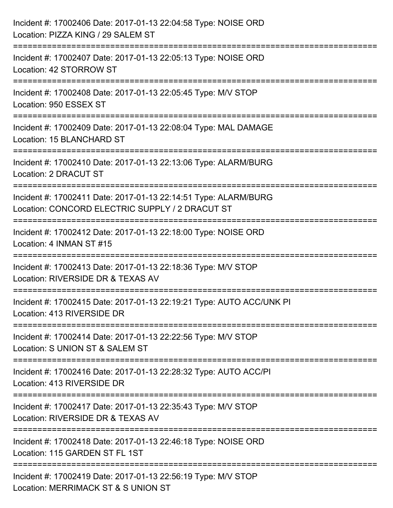| Incident #: 17002406 Date: 2017-01-13 22:04:58 Type: NOISE ORD<br>Location: PIZZA KING / 29 SALEM ST                                                      |
|-----------------------------------------------------------------------------------------------------------------------------------------------------------|
| ===========================<br>Incident #: 17002407 Date: 2017-01-13 22:05:13 Type: NOISE ORD<br>Location: 42 STORROW ST                                  |
| Incident #: 17002408 Date: 2017-01-13 22:05:45 Type: M/V STOP<br>Location: 950 ESSEX ST                                                                   |
| Incident #: 17002409 Date: 2017-01-13 22:08:04 Type: MAL DAMAGE<br>Location: 15 BLANCHARD ST                                                              |
| Incident #: 17002410 Date: 2017-01-13 22:13:06 Type: ALARM/BURG<br><b>Location: 2 DRACUT ST</b>                                                           |
| Incident #: 17002411 Date: 2017-01-13 22:14:51 Type: ALARM/BURG<br>Location: CONCORD ELECTRIC SUPPLY / 2 DRACUT ST<br>:================================== |
| Incident #: 17002412 Date: 2017-01-13 22:18:00 Type: NOISE ORD<br>Location: 4 INMAN ST #15                                                                |
| Incident #: 17002413 Date: 2017-01-13 22:18:36 Type: M/V STOP<br>Location: RIVERSIDE DR & TEXAS AV                                                        |
| Incident #: 17002415 Date: 2017-01-13 22:19:21 Type: AUTO ACC/UNK PI<br>Location: 413 RIVERSIDE DR                                                        |
| Incident #: 17002414 Date: 2017-01-13 22:22:56 Type: M/V STOP<br>Location: S UNION ST & SALEM ST                                                          |
| Incident #: 17002416 Date: 2017-01-13 22:28:32 Type: AUTO ACC/PI<br>Location: 413 RIVERSIDE DR                                                            |
| Incident #: 17002417 Date: 2017-01-13 22:35:43 Type: M/V STOP<br>Location: RIVERSIDE DR & TEXAS AV                                                        |
| Incident #: 17002418 Date: 2017-01-13 22:46:18 Type: NOISE ORD<br>Location: 115 GARDEN ST FL 1ST                                                          |
| Incident #: 17002419 Date: 2017-01-13 22:56:19 Type: M/V STOP<br>Location: MERRIMACK ST & S UNION ST                                                      |